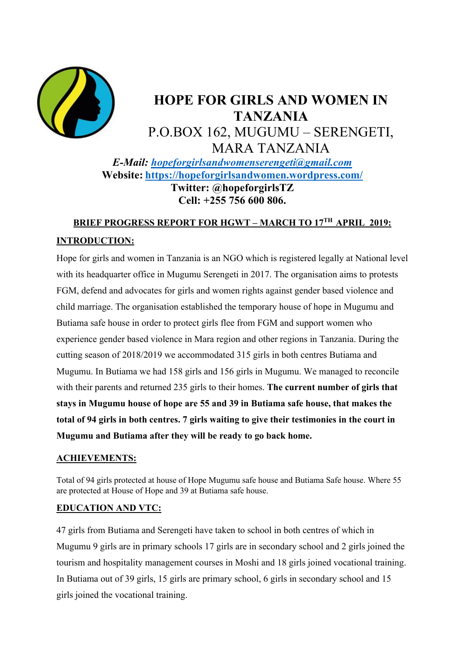

# **HOPE FOR GIRLS AND WOMEN IN TANZANIA**  P.O.BOX 162, MUGUMU – SERENGETI, MARA TANZANIA *E-Mail: hopeforgirlsandwomenserengeti@gmail.com*  **Website: https://hopeforgirlsandwomen.wordpress.com/ Twitter: @hopeforgirlsTZ Cell: +255 756 600 806.**

# **BRIEF PROGRESS REPORT FOR HGWT – MARCH TO 17TH APRIL 2019: INTRODUCTION:**

Hope for girls and women in Tanzania is an NGO which is registered legally at National level with its headquarter office in Mugumu Serengeti in 2017. The organisation aims to protests FGM, defend and advocates for girls and women rights against gender based violence and child marriage. The organisation established the temporary house of hope in Mugumu and Butiama safe house in order to protect girls flee from FGM and support women who experience gender based violence in Mara region and other regions in Tanzania. During the cutting season of 2018/2019 we accommodated 315 girls in both centres Butiama and Mugumu. In Butiama we had 158 girls and 156 girls in Mugumu. We managed to reconcile with their parents and returned 235 girls to their homes. **The current number of girls that stays in Mugumu house of hope are 55 and 39 in Butiama safe house, that makes the total of 94 girls in both centres. 7 girls waiting to give their testimonies in the court in Mugumu and Butiama after they will be ready to go back home.**

### **ACHIEVEMENTS:**

Total of 94 girls protected at house of Hope Mugumu safe house and Butiama Safe house. Where 55 are protected at House of Hope and 39 at Butiama safe house.

#### **EDUCATION AND VTC:**

47 girls from Butiama and Serengeti have taken to school in both centres of which in Mugumu 9 girls are in primary schools 17 girls are in secondary school and 2 girls joined the tourism and hospitality management courses in Moshi and 18 girls joined vocational training. In Butiama out of 39 girls, 15 girls are primary school, 6 girls in secondary school and 15 girls joined the vocational training.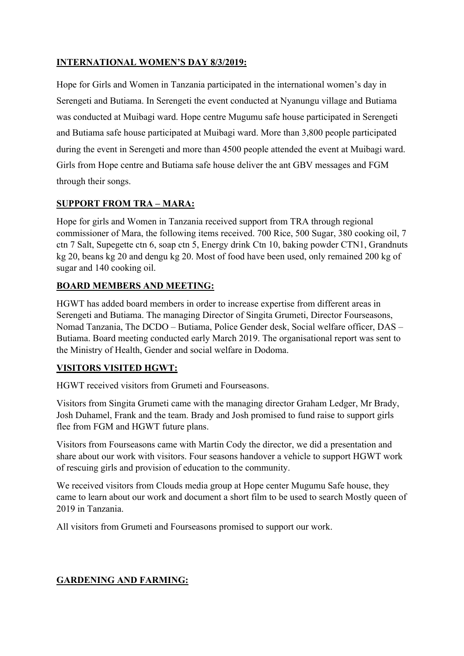### **INTERNATIONAL WOMEN'S DAY 8/3/2019:**

Hope for Girls and Women in Tanzania participated in the international women's day in Serengeti and Butiama. In Serengeti the event conducted at Nyanungu village and Butiama was conducted at Muibagi ward. Hope centre Mugumu safe house participated in Serengeti and Butiama safe house participated at Muibagi ward. More than 3,800 people participated during the event in Serengeti and more than 4500 people attended the event at Muibagi ward. Girls from Hope centre and Butiama safe house deliver the ant GBV messages and FGM through their songs.

### **SUPPORT FROM TRA – MARA:**

Hope for girls and Women in Tanzania received support from TRA through regional commissioner of Mara, the following items received. 700 Rice, 500 Sugar, 380 cooking oil, 7 ctn 7 Salt, Supegette ctn 6, soap ctn 5, Energy drink Ctn 10, baking powder CTN1, Grandnuts kg 20, beans kg 20 and dengu kg 20. Most of food have been used, only remained 200 kg of sugar and 140 cooking oil.

### **BOARD MEMBERS AND MEETING:**

HGWT has added board members in order to increase expertise from different areas in Serengeti and Butiama. The managing Director of Singita Grumeti, Director Fourseasons, Nomad Tanzania, The DCDO – Butiama, Police Gender desk, Social welfare officer, DAS – Butiama. Board meeting conducted early March 2019. The organisational report was sent to the Ministry of Health, Gender and social welfare in Dodoma.

### **VISITORS VISITED HGWT:**

HGWT received visitors from Grumeti and Fourseasons.

Visitors from Singita Grumeti came with the managing director Graham Ledger, Mr Brady, Josh Duhamel, Frank and the team. Brady and Josh promised to fund raise to support girls flee from FGM and HGWT future plans.

Visitors from Fourseasons came with Martin Cody the director, we did a presentation and share about our work with visitors. Four seasons handover a vehicle to support HGWT work of rescuing girls and provision of education to the community.

We received visitors from Clouds media group at Hope center Mugumu Safe house, they came to learn about our work and document a short film to be used to search Mostly queen of 2019 in Tanzania.

All visitors from Grumeti and Fourseasons promised to support our work.

# **GARDENING AND FARMING:**